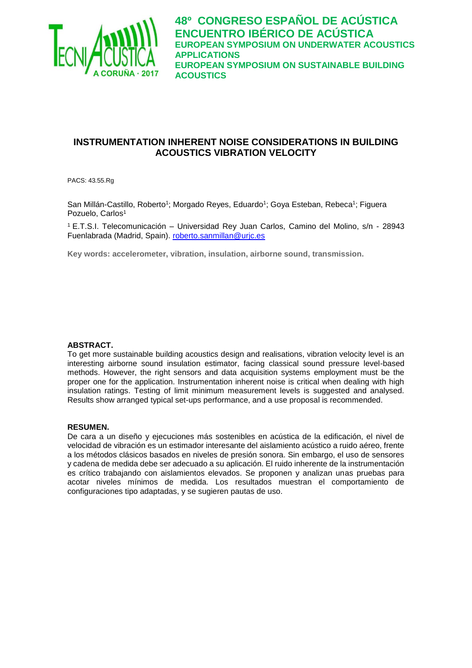

# **INSTRUMENTATION INHERENT NOISE CONSIDERATIONS IN BUILDING ACOUSTICS VIBRATION VELOCITY**

PACS: 43.55.Rg

San Millán-Castillo, Roberto<sup>1</sup>; Morgado Reyes, Eduardo<sup>1</sup>; Goya Esteban, Rebeca<sup>1</sup>; Figuera Pozuelo, Carlos<sup>1</sup>

<sup>1</sup>E.T.S.I. Telecomunicación – Universidad Rey Juan Carlos, Camino del Molino, s/n - 28943 Fuenlabrada (Madrid, Spain). [roberto.sanmillan@urjc.es](mailto:roberto.sanmillan@urjc.es)

**Key words: accelerometer, vibration, insulation, airborne sound, transmission.**

### **ABSTRACT.**

To get more sustainable building acoustics design and realisations, vibration velocity level is an interesting airborne sound insulation estimator, facing classical sound pressure level-based methods. However, the right sensors and data acquisition systems employment must be the proper one for the application. Instrumentation inherent noise is critical when dealing with high insulation ratings. Testing of limit minimum measurement levels is suggested and analysed. Results show arranged typical set-ups performance, and a use proposal is recommended.

#### **RESUMEN.**

De cara a un diseño y ejecuciones más sostenibles en acústica de la edificación, el nivel de velocidad de vibración es un estimador interesante del aislamiento acústico a ruido aéreo, frente a los métodos clásicos basados en niveles de presión sonora. Sin embargo, el uso de sensores y cadena de medida debe ser adecuado a su aplicación. El ruido inherente de la instrumentación es crítico trabajando con aislamientos elevados. Se proponen y analizan unas pruebas para acotar niveles mínimos de medida. Los resultados muestran el comportamiento de configuraciones tipo adaptadas, y se sugieren pautas de uso.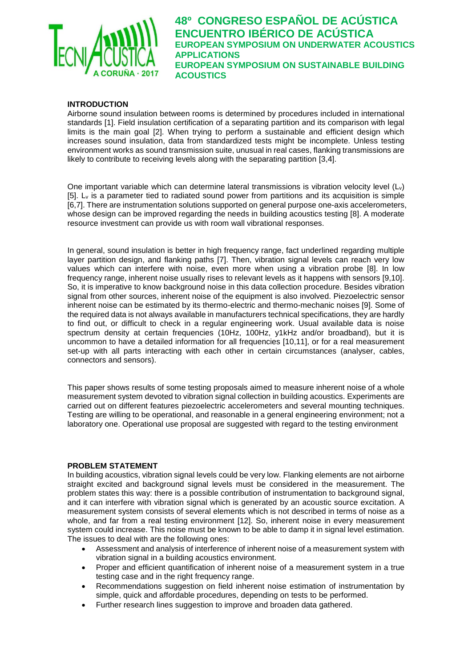

### **INTRODUCTION**

Airborne sound insulation between rooms is determined by procedures included in international standards [1]. Field insulation certification of a separating partition and its comparison with legal limits is the main goal [2]. When trying to perform a sustainable and efficient design which increases sound insulation, data from standardized tests might be incomplete. Unless testing environment works as sound transmission suite, unusual in real cases, flanking transmissions are likely to contribute to receiving levels along with the separating partition [3,4].

One important variable which can determine lateral transmissions is vibration velocity level (Lv) [5].  $L_v$  is a parameter tied to radiated sound power from partitions and its acquisition is simple [6,7]. There are instrumentation solutions supported on general purpose one-axis accelerometers, whose design can be improved regarding the needs in building acoustics testing [8]. A moderate resource investment can provide us with room wall vibrational responses.

In general, sound insulation is better in high frequency range, fact underlined regarding multiple layer partition design, and flanking paths [7]. Then, vibration signal levels can reach very low values which can interfere with noise, even more when using a vibration probe [8]. In low frequency range, inherent noise usually rises to relevant levels as it happens with sensors [9,10]. So, it is imperative to know background noise in this data collection procedure. Besides vibration signal from other sources, inherent noise of the equipment is also involved. Piezoelectric sensor inherent noise can be estimated by its thermo-electric and thermo-mechanic noises [9]. Some of the required data is not always available in manufacturers technical specifications, they are hardly to find out, or difficult to check in a regular engineering work. Usual available data is noise spectrum density at certain frequencies (10Hz, 100Hz, y1kHz and/or broadband), but it is uncommon to have a detailed information for all frequencies [10,11], or for a real measurement set-up with all parts interacting with each other in certain circumstances (analyser, cables, connectors and sensors).

This paper shows results of some testing proposals aimed to measure inherent noise of a whole measurement system devoted to vibration signal collection in building acoustics. Experiments are carried out on different features piezoelectric accelerometers and several mounting techniques. Testing are willing to be operational, and reasonable in a general engineering environment; not a laboratory one. Operational use proposal are suggested with regard to the testing environment

#### **PROBLEM STATEMENT**

In building acoustics, vibration signal levels could be very low. Flanking elements are not airborne straight excited and background signal levels must be considered in the measurement. The problem states this way: there is a possible contribution of instrumentation to background signal, and it can interfere with vibration signal which is generated by an acoustic source excitation. A measurement system consists of several elements which is not described in terms of noise as a whole, and far from a real testing environment [12]. So, inherent noise in every measurement system could increase. This noise must be known to be able to damp it in signal level estimation. The issues to deal with are the following ones:

- Assessment and analysis of interference of inherent noise of a measurement system with vibration signal in a building acoustics environment.
- Proper and efficient quantification of inherent noise of a measurement system in a true testing case and in the right frequency range.
- Recommendations suggestion on field inherent noise estimation of instrumentation by simple, quick and affordable procedures, depending on tests to be performed.
- Further research lines suggestion to improve and broaden data gathered.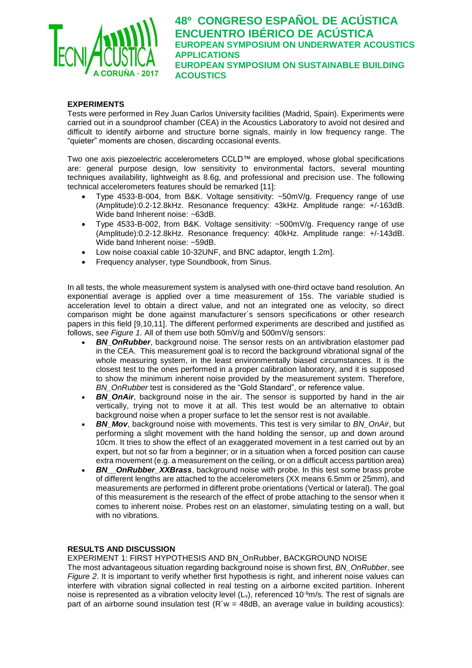

### **EXPERIMENTS**

Tests were performed in Rey Juan Carlos University facilities (Madrid, Spain). Experiments were carried out in a soundproof chamber (CEA) in the Acoustics Laboratory to avoid not desired and difficult to identify airborne and structure borne signals, mainly in low frequency range. The "quieter" moments are chosen, discarding occasional events.

Two one axis piezoelectric accelerometers CCLD™ are employed, whose global specifications are: general purpose design, low sensitivity to environmental factors, several mounting techniques availability, lightweight as 8.6g, and professional and precision use. The following technical accelerometers features should be remarked [11]:

- Type 4533-B-004, from B&K. Voltage sensitivity: ~50mV/g. Frequency range of use (Amplitude):0.2-12.8kHz. Resonance frequency: 43kHz. Amplitude range: +/-163dB. Wide band Inherent noise: ~63dB.
- Type 4533-B-002, from B&K. Voltage sensitivity: ~500mV/g. Frequency range of use (Amplitude):0.2-12.8kHz. Resonance frequency: 40kHz. Amplitude range: +/-143dB. Wide band Inherent noise: ~59dB.
- Low noise coaxial cable 10-32UNF, and BNC adaptor, length 1.2m].
- Frequency analyser, type Soundbook, from Sinus.

In all tests, the whole measurement system is analysed with one-third octave band resolution. An exponential average is applied over a time measurement of 15s. The variable studied is acceleration level to obtain a direct value, and not an integrated one as velocity, so direct comparison might be done against manufacturer´s sensors specifications or other research papers in this field [9,10,11]. The different performed experiments are described and justified as follows, see *Figure 1*. All of them use both 50mV/g and 500mV/g sensors:

- **BN\_OnRubber**, background noise. The sensor rests on an antivibration elastomer pad in the CEA. This measurement goal is to record the background vibrational signal of the whole measuring system, in the least environmentally biased circumstances. It is the closest test to the ones performed in a proper calibration laboratory, and it is supposed to show the minimum inherent noise provided by the measurement system. Therefore, *BN\_OnRubber* test is considered as the "Gold Standard", or reference value.
- **BN OnAir**, background noise in the air. The sensor is supported by hand in the air vertically, trying not to move it at all. This test would be an alternative to obtain background noise when a proper surface to let the sensor rest is not available.
- *BN\_Mov*, background noise with movements. This test is very similar to *BN\_OnAir*, but performing a slight movement with the hand holding the sensor, up and down around 10cm. It tries to show the effect of an exaggerated movement in a test carried out by an expert, but not so far from a beginner; or in a situation when a forced position can cause extra movement (e.g. a measurement on the ceiling, or on a difficult access partition area)
- **BN** OnRubber XXBrass, background noise with probe. In this test some brass probe of different lengths are attached to the accelerometers (XX means 6.5mm or 25mm), and measurements are performed in different probe orientations (Vertical or lateral). The goal of this measurement is the research of the effect of probe attaching to the sensor when it comes to inherent noise. Probes rest on an elastomer, simulating testing on a wall, but with no vibrations.

#### **RESULTS AND DISCUSSION**

EXPERIMENT 1: FIRST HYPOTHESIS AND BN\_OnRubber, BACKGROUND NOISE

The most advantageous situation regarding background noise is shown first, *BN\_OnRubber*, see *Figure 2*. It is important to verify whether first hypothesis is right, and inherent noise values can interfere with vibration signal collected in real testing on a airborne excited partition. Inherent noise is represented as a vibration velocity level  $(L_v)$ , referenced 10<sup>-9</sup>m/s. The rest of signals are part of an airborne sound insulation test ( $R'w = 48dB$ , an average value in building acoustics):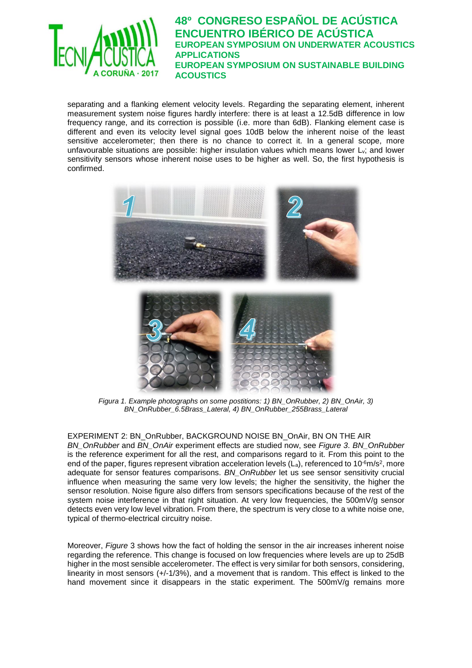

separating and a flanking element velocity levels. Regarding the separating element, inherent measurement system noise figures hardly interfere: there is at least a 12.5dB difference in low frequency range, and its correction is possible (i.e. more than 6dB). Flanking element case is different and even its velocity level signal goes 10dB below the inherent noise of the least sensitive accelerometer; then there is no chance to correct it. In a general scope, more unfavourable situations are possible: higher insulation values which means lower L<sub>v</sub>; and lower sensitivity sensors whose inherent noise uses to be higher as well. So, the first hypothesis is confirmed.



*Figura 1. Example photographs on some postitions: 1) BN\_OnRubber, 2) BN\_OnAir, 3) BN\_OnRubber\_6.5Brass\_Lateral, 4) BN\_OnRubber\_255Brass\_Lateral*

EXPERIMENT 2: BN\_OnRubber, BACKGROUND NOISE BN\_OnAir, BN ON THE AIR *BN\_OnRubber* and *BN\_OnAir* experiment effects are studied now, see *Figure 3*. *BN\_OnRubber* is the reference experiment for all the rest, and comparisons regard to it. From this point to the end of the paper, figures represent vibration acceleration levels  $(L_a)$ , referenced to 10<sup>-6</sup>m/s<sup>2</sup>, more adequate for sensor features comparisons. *BN\_OnRubber* let us see sensor sensitivity crucial influence when measuring the same very low levels; the higher the sensitivity, the higher the sensor resolution. Noise figure also differs from sensors specifications because of the rest of the system noise interference in that right situation. At very low frequencies, the 500mV/g sensor detects even very low level vibration. From there, the spectrum is very close to a white noise one, typical of thermo-electrical circuitry noise.

Moreover, *Figure* 3 shows how the fact of holding the sensor in the air increases inherent noise regarding the reference. This change is focused on low frequencies where levels are up to 25dB higher in the most sensible accelerometer. The effect is very similar for both sensors, considering, linearity in most sensors (+/-1/3%), and a movement that is random. This effect is linked to the hand movement since it disappears in the static experiment. The 500mV/g remains more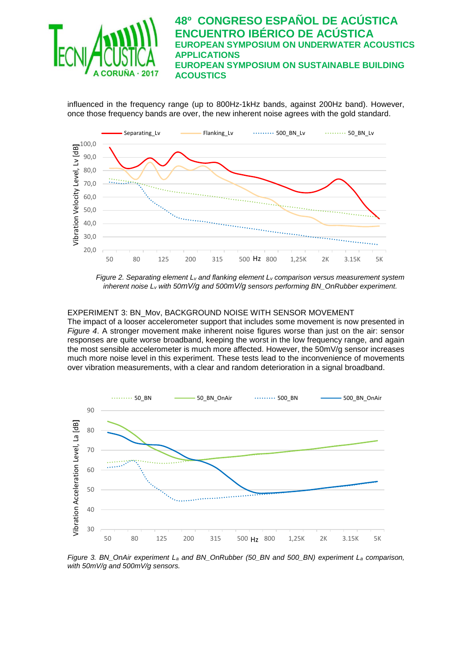

influenced in the frequency range (up to 800Hz-1kHz bands, against 200Hz band). However, once those frequency bands are over, the new inherent noise agrees with the gold standard.



*Figure 2. Separating element L<sup>v</sup> and flanking element L<sup>v</sup> comparison versus measurement system inherent noise L<sup>v</sup> with 50mV/g and 500mV/g sensors performing BN\_OnRubber experiment.*

#### EXPERIMENT 3: BN\_Mov, BACKGROUND NOISE WITH SENSOR MOVEMENT

The impact of a looser accelerometer support that includes some movement is now presented in *Figure 4*. A stronger movement make inherent noise figures worse than just on the air: sensor responses are quite worse broadband, keeping the worst in the low frequency range, and again the most sensible accelerometer is much more affected. However, the 50mV/g sensor increases much more noise level in this experiment. These tests lead to the inconvenience of movements over vibration measurements, with a clear and random deterioration in a signal broadband.



*Figure 3. BN\_OnAir experiment L<sup>a</sup> and BN\_OnRubber (50\_BN and 500\_BN) experiment L<sup>a</sup> comparison, with 50mV/g and 500mV/g sensors.*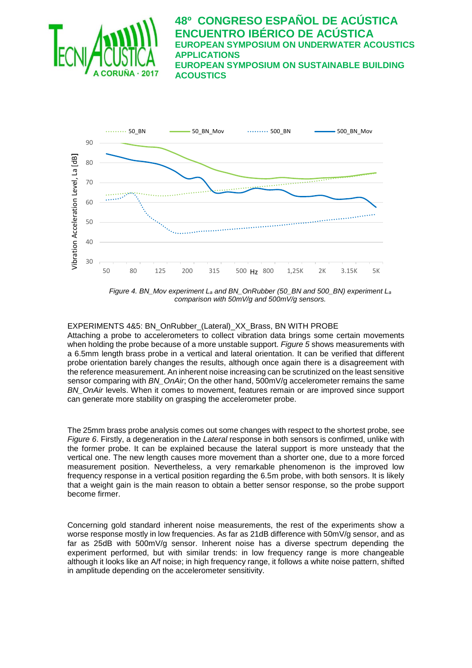



*Figure 4. BN\_Mov experiment L<sup>a</sup> and BN\_OnRubber (50\_BN and 500\_BN) experiment L<sup>a</sup> comparison with 50mV/g and 500mV/g sensors.*

#### EXPERIMENTS 4&5: BN\_OnRubber\_(Lateral)\_XX\_Brass, BN WITH PROBE

Attaching a probe to accelerometers to collect vibration data brings some certain movements when holding the probe because of a more unstable support. *Figure 5* shows measurements with a 6.5mm length brass probe in a vertical and lateral orientation. It can be verified that different probe orientation barely changes the results, although once again there is a disagreement with the reference measurement. An inherent noise increasing can be scrutinized on the least sensitive sensor comparing with *BN\_OnAir*; On the other hand, 500mV/g accelerometer remains the same *BN\_OnAir* levels. When it comes to movement, features remain or are improved since support can generate more stability on grasping the accelerometer probe.

The 25mm brass probe analysis comes out some changes with respect to the shortest probe, see *Figure 6*. Firstly, a degeneration in the *Lateral* response in both sensors is confirmed, unlike with the former probe. It can be explained because the lateral support is more unsteady that the vertical one. The new length causes more movement than a shorter one, due to a more forced measurement position. Nevertheless, a very remarkable phenomenon is the improved low frequency response in a vertical position regarding the 6.5m probe, with both sensors. It is likely that a weight gain is the main reason to obtain a better sensor response, so the probe support become firmer.

Concerning gold standard inherent noise measurements, the rest of the experiments show a worse response mostly in low frequencies. As far as 21dB difference with 50mV/g sensor, and as far as 25dB with 500mV/g sensor. Inherent noise has a diverse spectrum depending the experiment performed, but with similar trends: in low frequency range is more changeable although it looks like an A/f noise; in high frequency range, it follows a white noise pattern, shifted in amplitude depending on the accelerometer sensitivity.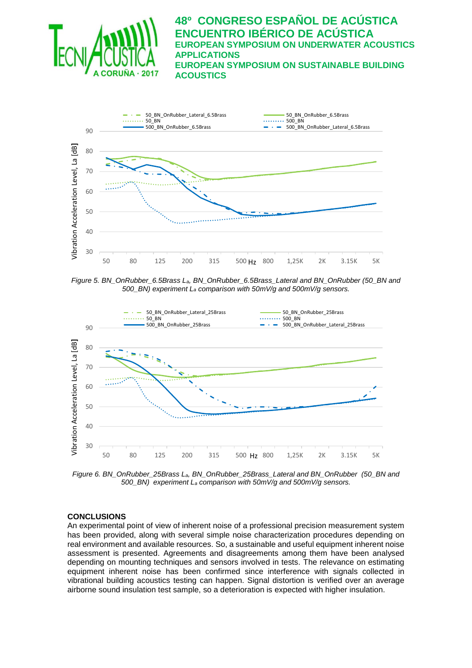



*Figure 5. BN\_OnRubber\_6.5Brass La, BN\_OnRubber\_6.5Brass\_Lateral and BN\_OnRubber (50\_BN and 500\_BN) experiment L<sup>a</sup> comparison with 50mV/g and 500mV/g sensors.*



*Figure 6. BN\_OnRubber\_25Brass La, BN\_OnRubber\_25Brass\_Lateral and BN\_OnRubber (50\_BN and 500\_BN) experiment L<sup>a</sup> comparison with 50mV/g and 500mV/g sensors.*

### **CONCLUSIONS**

An experimental point of view of inherent noise of a professional precision measurement system has been provided, along with several simple noise characterization procedures depending on real environment and available resources. So, a sustainable and useful equipment inherent noise assessment is presented. Agreements and disagreements among them have been analysed depending on mounting techniques and sensors involved in tests. The relevance on estimating equipment inherent noise has been confirmed since interference with signals collected in vibrational building acoustics testing can happen. Signal distortion is verified over an average airborne sound insulation test sample, so a deterioration is expected with higher insulation.